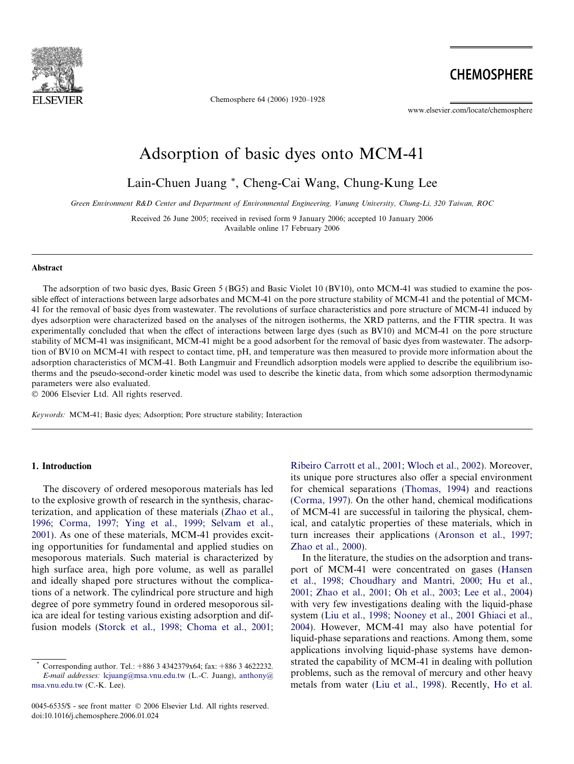

Chemosphere 64 (2006) 1920–1928

**CHEMOSPHERE** 

www.elsevier.com/locate/chemosphere

# Adsorption of basic dyes onto MCM-41

Lain-Chuen Juang \*, Cheng-Cai Wang, Chung-Kung Lee

Green Environment R&D Center and Department of Environmental Engineering, Vanung University, Chung-Li, 320 Taiwan, ROC

Received 26 June 2005; received in revised form 9 January 2006; accepted 10 January 2006 Available online 17 February 2006

#### Abstract

The adsorption of two basic dyes, Basic Green 5 (BG5) and Basic Violet 10 (BV10), onto MCM-41 was studied to examine the possible effect of interactions between large adsorbates and MCM-41 on the pore structure stability of MCM-41 and the potential of MCM-41 for the removal of basic dyes from wastewater. The revolutions of surface characteristics and pore structure of MCM-41 induced by dyes adsorption were characterized based on the analyses of the nitrogen isotherms, the XRD patterns, and the FTIR spectra. It was experimentally concluded that when the effect of interactions between large dyes (such as BV10) and MCM-41 on the pore structure stability of MCM-41 was insignificant, MCM-41 might be a good adsorbent for the removal of basic dyes from wastewater. The adsorption of BV10 on MCM-41 with respect to contact time, pH, and temperature was then measured to provide more information about the adsorption characteristics of MCM-41. Both Langmuir and Freundlich adsorption models were applied to describe the equilibrium isotherms and the pseudo-second-order kinetic model was used to describe the kinetic data, from which some adsorption thermodynamic parameters were also evaluated.

 $© 2006 Elsevier Ltd. All rights reserved.$ 

Keywords: MCM-41; Basic dyes; Adsorption; Pore structure stability; Interaction

# 1. Introduction

The discovery of ordered mesoporous materials has led to the explosive growth of research in the synthesis, characterization, and application of these materials [\(Zhao et al.,](#page-8-0) [1996; Corma, 1997; Ying et al., 1999; Selvam et al.,](#page-8-0) [2001\)](#page-8-0). As one of these materials, MCM-41 provides exciting opportunities for fundamental and applied studies on mesoporous materials. Such material is characterized by high surface area, high pore volume, as well as parallel and ideally shaped pore structures without the complications of a network. The cylindrical pore structure and high degree of pore symmetry found in ordered mesoporous silica are ideal for testing various existing adsorption and diffusion models ([Storck et al., 1998; Choma et al., 2001;](#page-8-0) [Ribeiro Carrott et al., 2001; Wloch et al., 2002](#page-8-0)). Moreover, its unique pore structures also offer a special environment for chemical separations [\(Thomas, 1994\)](#page-8-0) and reactions [\(Corma, 1997](#page-7-0)). On the other hand, chemical modifications of MCM-41 are successful in tailoring the physical, chemical, and catalytic properties of these materials, which in turn increases their applications ([Aronson et al., 1997;](#page-7-0) [Zhao et al., 2000](#page-7-0)).

In the literature, the studies on the adsorption and transport of MCM-41 were concentrated on gases [\(Hansen](#page-7-0) [et al., 1998; Choudhary and Mantri, 2000; Hu et al.,](#page-7-0) [2001; Zhao et al., 2001; Oh et al., 2003; Lee et al., 2004](#page-7-0)) with very few investigations dealing with the liquid-phase system ([Liu et al., 1998; Nooney et al., 2001 Ghiaci et al.,](#page-8-0) [2004\)](#page-8-0). However, MCM-41 may also have potential for liquid-phase separations and reactions. Among them, some applications involving liquid-phase systems have demonstrated the capability of MCM-41 in dealing with pollution problems, such as the removal of mercury and other heavy metals from water ([Liu et al., 1998](#page-8-0)). Recently, [Ho et al.](#page-7-0)

Corresponding author. Tel.: +886 3 4342379x64; fax: +886 3 4622232. E-mail addresses: [lcjuang@msa.vnu.edu.tw](mailto:lcjuang@msa.vnu.edu.tw) (L.-C. Juang), [anthony@](mailto:anthony@ msa.vnu.edu.tw) [msa.vnu.edu.tw](mailto:anthony@ msa.vnu.edu.tw) (C.-K. Lee).

<sup>0045-6535/\$ -</sup> see front matter © 2006 Elsevier Ltd. All rights reserved. doi:10.1016/j.chemosphere.2006.01.024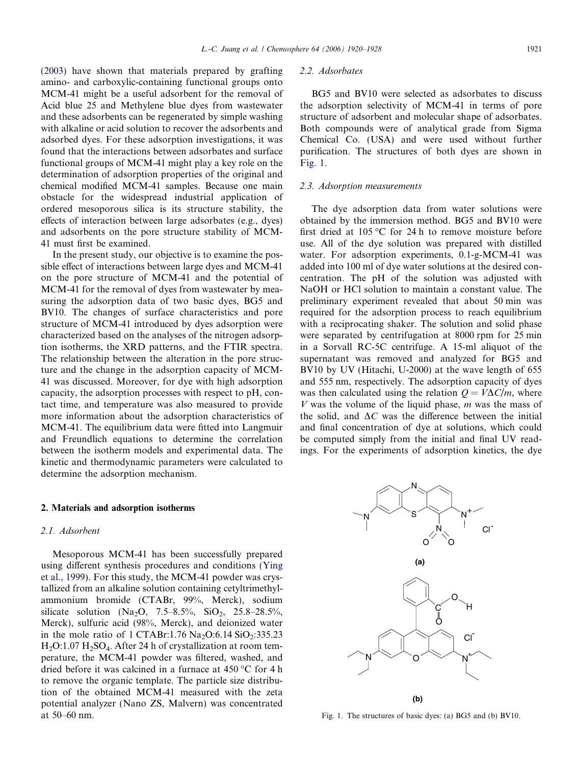[\(2003\)](#page-7-0) have shown that materials prepared by grafting amino- and carboxylic-containing functional groups onto MCM-41 might be a useful adsorbent for the removal of Acid blue 25 and Methylene blue dyes from wastewater and these adsorbents can be regenerated by simple washing with alkaline or acid solution to recover the adsorbents and adsorbed dyes. For these adsorption investigations, it was found that the interactions between adsorbates and surface functional groups of MCM-41 might play a key role on the determination of adsorption properties of the original and chemical modified MCM-41 samples. Because one main obstacle for the widespread industrial application of ordered mesoporous silica is its structure stability, the effects of interaction between large adsorbates (e.g., dyes) and adsorbents on the pore structure stability of MCM-41 must first be examined.

In the present study, our objective is to examine the possible effect of interactions between large dyes and MCM-41 on the pore structure of MCM-41 and the potential of MCM-41 for the removal of dyes from wastewater by measuring the adsorption data of two basic dyes, BG5 and BV10. The changes of surface characteristics and pore structure of MCM-41 introduced by dyes adsorption were characterized based on the analyses of the nitrogen adsorption isotherms, the XRD patterns, and the FTIR spectra. The relationship between the alteration in the pore structure and the change in the adsorption capacity of MCM-41 was discussed. Moreover, for dye with high adsorption capacity, the adsorption processes with respect to pH, contact time, and temperature was also measured to provide more information about the adsorption characteristics of MCM-41. The equilibrium data were fitted into Langmuir and Freundlich equations to determine the correlation between the isotherm models and experimental data. The kinetic and thermodynamic parameters were calculated to determine the adsorption mechanism.

#### 2. Materials and adsorption isotherms

#### 2.1. Adsorbent

Mesoporous MCM-41 has been successfully prepared using different synthesis procedures and conditions ([Ying](#page-8-0) [et al., 1999](#page-8-0)). For this study, the MCM-41 powder was crystallized from an alkaline solution containing cetyltrimethylammonium bromide (CTABr, 99%, Merck), sodium silicate solution (Na<sub>2</sub>O, 7.5–8.5%, SiO<sub>2</sub>, 25.8–28.5%, Merck), sulfuric acid (98%, Merck), and deionized water in the mole ratio of 1 CTABr:1.76  $Na<sub>2</sub>O:6.14 SiO<sub>2</sub>:335.23$  $H_2O:1.07 H_2SO_4$ . After 24 h of crystallization at room temperature, the MCM-41 powder was filtered, washed, and dried before it was calcined in a furnace at  $450^{\circ}$ C for 4 h to remove the organic template. The particle size distribution of the obtained MCM-41 measured with the zeta potential analyzer (Nano ZS, Malvern) was concentrated at 50–60 nm.

#### 2.2. Adsorbates

BG5 and BV10 were selected as adsorbates to discuss the adsorption selectivity of MCM-41 in terms of pore structure of adsorbent and molecular shape of adsorbates. Both compounds were of analytical grade from Sigma Chemical Co. (USA) and were used without further purification. The structures of both dyes are shown in Fig. 1.

#### 2.3. Adsorption measurements

The dye adsorption data from water solutions were obtained by the immersion method. BG5 and BV10 were first dried at 105 °C for 24 h to remove moisture before use. All of the dye solution was prepared with distilled water. For adsorption experiments, 0.1-g-MCM-41 was added into 100 ml of dye water solutions at the desired concentration. The pH of the solution was adjusted with NaOH or HCl solution to maintain a constant value. The preliminary experiment revealed that about 50 min was required for the adsorption process to reach equilibrium with a reciprocating shaker. The solution and solid phase were separated by centrifugation at 8000 rpm for 25 min in a Sorvall RC-5C centrifuge. A 15-ml aliquot of the supernatant was removed and analyzed for BG5 and BV10 by UV (Hitachi, U-2000) at the wave length of 655 and 555 nm, respectively. The adsorption capacity of dyes was then calculated using the relation  $Q = V\Delta C/m$ , where V was the volume of the liquid phase,  $m$  was the mass of the solid, and  $\Delta C$  was the difference between the initial and final concentration of dye at solutions, which could be computed simply from the initial and final UV readings. For the experiments of adsorption kinetics, the dye



Fig. 1. The structures of basic dyes: (a) BG5 and (b) BV10.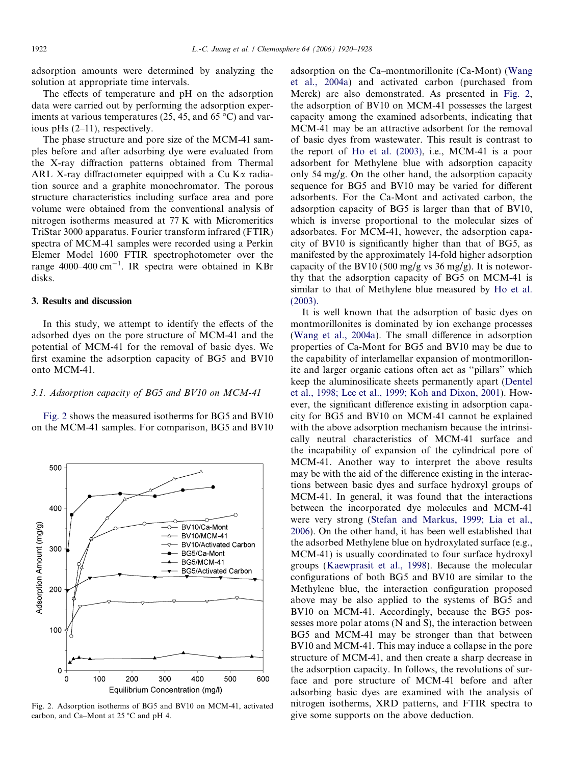adsorption amounts were determined by analyzing the solution at appropriate time intervals.

The effects of temperature and pH on the adsorption data were carried out by performing the adsorption experiments at various temperatures (25, 45, and 65  $^{\circ}$ C) and various pHs (2–11), respectively.

The phase structure and pore size of the MCM-41 samples before and after adsorbing dye were evaluated from the X-ray diffraction patterns obtained from Thermal ARL X-ray diffractometer equipped with a Cu K $\alpha$  radiation source and a graphite monochromator. The porous structure characteristics including surface area and pore volume were obtained from the conventional analysis of nitrogen isotherms measured at 77 K with Micromeritics TriStar 3000 apparatus. Fourier transform infrared (FTIR) spectra of MCM-41 samples were recorded using a Perkin Elemer Model 1600 FTIR spectrophotometer over the range 4000–400 cm-1 . IR spectra were obtained in KBr disks.

#### 3. Results and discussion

In this study, we attempt to identify the effects of the adsorbed dyes on the pore structure of MCM-41 and the potential of MCM-41 for the removal of basic dyes. We first examine the adsorption capacity of BG5 and BV10 onto MCM-41.

#### 3.1. Adsorption capacity of BG5 and BV10 on MCM-41

Fig. 2 shows the measured isotherms for BG5 and BV10 on the MCM-41 samples. For comparison, BG5 and BV10



Fig. 2. Adsorption isotherms of BG5 and BV10 on MCM-41, activated carbon, and Ca–Mont at  $25^{\circ}$ C and pH 4.

adsorption on the Ca–montmorillonite (Ca-Mont) [\(Wang](#page-8-0) [et al., 2004a\)](#page-8-0) and activated carbon (purchased from Merck) are also demonstrated. As presented in Fig. 2, the adsorption of BV10 on MCM-41 possesses the largest capacity among the examined adsorbents, indicating that MCM-41 may be an attractive adsorbent for the removal of basic dyes from wastewater. This result is contrast to the report of [Ho et al. \(2003\)](#page-7-0), i.e., MCM-41 is a poor adsorbent for Methylene blue with adsorption capacity only 54 mg/g. On the other hand, the adsorption capacity sequence for BG5 and BV10 may be varied for different adsorbents. For the Ca-Mont and activated carbon, the adsorption capacity of BG5 is larger than that of BV10, which is inverse proportional to the molecular sizes of adsorbates. For MCM-41, however, the adsorption capacity of BV10 is significantly higher than that of BG5, as manifested by the approximately 14-fold higher adsorption capacity of the BV10 (500 mg/g vs 36 mg/g). It is noteworthy that the adsorption capacity of BG5 on MCM-41 is similar to that of Methylene blue measured by [Ho et al.](#page-7-0) [\(2003\).](#page-7-0)

It is well known that the adsorption of basic dyes on montmorillonites is dominated by ion exchange processes [\(Wang et al., 2004a\)](#page-8-0). The small difference in adsorption properties of Ca-Mont for BG5 and BV10 may be due to the capability of interlamellar expansion of montmorillonite and larger organic cations often act as ''pillars'' which keep the aluminosilicate sheets permanently apart [\(Dentel](#page-7-0) [et al., 1998; Lee et al., 1999; Koh and Dixon, 2001](#page-7-0)). However, the significant difference existing in adsorption capacity for BG5 and BV10 on MCM-41 cannot be explained with the above adsorption mechanism because the intrinsically neutral characteristics of MCM-41 surface and the incapability of expansion of the cylindrical pore of MCM-41. Another way to interpret the above results may be with the aid of the difference existing in the interactions between basic dyes and surface hydroxyl groups of MCM-41. In general, it was found that the interactions between the incorporated dye molecules and MCM-41 were very strong [\(Stefan and Markus, 1999; Lia et al.,](#page-8-0) [2006\)](#page-8-0). On the other hand, it has been well established that the adsorbed Methylene blue on hydroxylated surface (e.g., MCM-41) is usually coordinated to four surface hydroxyl groups ([Kaewprasit et al., 1998\)](#page-7-0). Because the molecular configurations of both BG5 and BV10 are similar to the Methylene blue, the interaction configuration proposed above may be also applied to the systems of BG5 and BV10 on MCM-41. Accordingly, because the BG5 possesses more polar atoms (N and S), the interaction between BG5 and MCM-41 may be stronger than that between BV10 and MCM-41. This may induce a collapse in the pore structure of MCM-41, and then create a sharp decrease in the adsorption capacity. In follows, the revolutions of surface and pore structure of MCM-41 before and after adsorbing basic dyes are examined with the analysis of nitrogen isotherms, XRD patterns, and FTIR spectra to give some supports on the above deduction.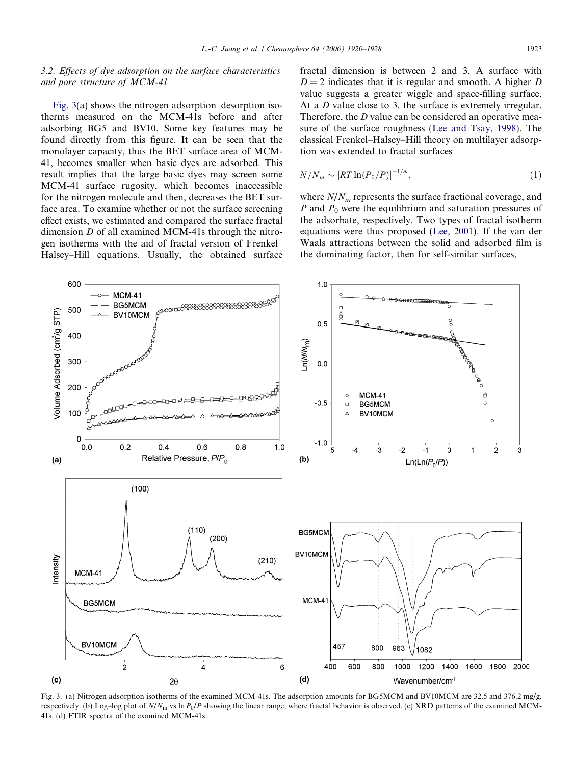# <span id="page-3-0"></span>3.2. Effects of dye adsorption on the surface characteristics and pore structure of MCM-41

Fig. 3(a) shows the nitrogen adsorption–desorption isotherms measured on the MCM-41s before and after adsorbing BG5 and BV10. Some key features may be found directly from this figure. It can be seen that the monolayer capacity, thus the BET surface area of MCM-41, becomes smaller when basic dyes are adsorbed. This result implies that the large basic dyes may screen some MCM-41 surface rugosity, which becomes inaccessible for the nitrogen molecule and then, decreases the BET surface area. To examine whether or not the surface screening effect exists, we estimated and compared the surface fractal dimension D of all examined MCM-41s through the nitrogen isotherms with the aid of fractal version of Frenkel– Halsey–Hill equations. Usually, the obtained surface fractal dimension is between 2 and 3. A surface with  $D = 2$  indicates that it is regular and smooth. A higher D value suggests a greater wiggle and space-filling surface. At a *D* value close to 3, the surface is extremely irregular. Therefore, the *D* value can be considered an operative measure of the surface roughness ([Lee and Tsay, 1998\)](#page-8-0). The classical Frenkel–Halsey–Hill theory on multilayer adsorption was extended to fractal surfaces

$$
N/N_m \sim \left[ RT \ln(P_0/P) \right]^{-1/m},\tag{1}
$$

where  $N/N_m$  represents the surface fractional coverage, and P and  $P_0$  were the equilibrium and saturation pressures of the adsorbate, respectively. Two types of fractal isotherm equations were thus proposed [\(Lee, 2001](#page-7-0)). If the van der Waals attractions between the solid and adsorbed film is the dominating factor, then for self-similar surfaces,



Fig. 3. (a) Nitrogen adsorption isotherms of the examined MCM-41s. The adsorption amounts for BG5MCM and BV10MCM are 32.5 and 376.2 mg/g, respectively. (b) Log-log plot of  $N/N_m$  vs ln  $P_0/P$  showing the linear range, where fractal behavior is observed. (c) XRD patterns of the examined MCM-41s. (d) FTIR spectra of the examined MCM-41s.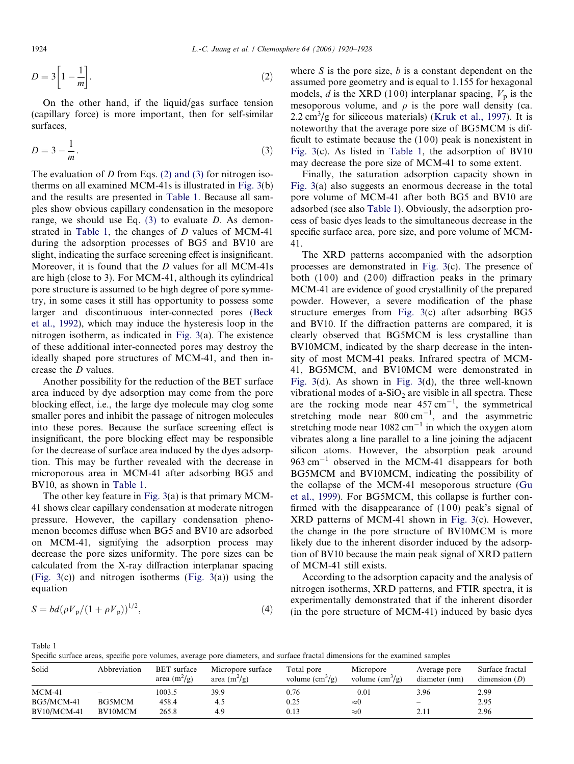$$
D = 3\left[1 - \frac{1}{m}\right].\tag{2}
$$

On the other hand, if the liquid/gas surface tension (capillary force) is more important, then for self-similar surfaces,

$$
D = 3 - \frac{1}{m}.\tag{3}
$$

The evaluation of D from Eqs.  $(2)$  and  $(3)$  for nitrogen isotherms on all examined MCM-41s is illustrated in [Fig. 3\(](#page-3-0)b) and the results are presented in Table 1. Because all samples show obvious capillary condensation in the mesopore range, we should use Eq.  $(3)$  to evaluate D. As demonstrated in Table 1, the changes of  $D$  values of MCM-41 during the adsorption processes of BG5 and BV10 are slight, indicating the surface screening effect is insignificant. Moreover, it is found that the D values for all MCM-41s are high (close to 3). For MCM-41, although its cylindrical pore structure is assumed to be high degree of pore symmetry, in some cases it still has opportunity to possess some larger and discontinuous inter-connected pores ([Beck](#page-7-0) [et al., 1992](#page-7-0)), which may induce the hysteresis loop in the nitrogen isotherm, as indicated in [Fig. 3\(](#page-3-0)a). The existence of these additional inter-connected pores may destroy the ideally shaped pore structures of MCM-41, and then increase the D values.

Another possibility for the reduction of the BET surface area induced by dye adsorption may come from the pore blocking effect, i.e., the large dye molecule may clog some smaller pores and inhibit the passage of nitrogen molecules into these pores. Because the surface screening effect is insignificant, the pore blocking effect may be responsible for the decrease of surface area induced by the dyes adsorption. This may be further revealed with the decrease in microporous area in MCM-41 after adsorbing BG5 and BV10, as shown in Table 1.

The other key feature in [Fig. 3\(](#page-3-0)a) is that primary MCM-41 shows clear capillary condensation at moderate nitrogen pressure. However, the capillary condensation phenomenon becomes diffuse when BG5 and BV10 are adsorbed on MCM-41, signifying the adsorption process may decrease the pore sizes uniformity. The pore sizes can be calculated from the X-ray diffraction interplanar spacing [\(Fig. 3](#page-3-0)(c)) and nitrogen isotherms [\(Fig. 3](#page-3-0)(a)) using the equation

$$
S = bd(\rho V_{\rm p}/(1+\rho V_{\rm p}))^{1/2},\tag{4}
$$

where  $S$  is the pore size,  $b$  is a constant dependent on the assumed pore geometry and is equal to 1.155 for hexagonal models, d is the XRD (100) interplanar spacing,  $V_p$  is the mesoporous volume, and  $\rho$  is the pore wall density (ca.  $2.2 \text{ cm}^3/\text{g}$  for siliceous materials) ([Kruk et al., 1997\)](#page-7-0). It is noteworthy that the average pore size of BG5MCM is difficult to estimate because the  $(100)$  peak is nonexistent in [Fig. 3\(](#page-3-0)c). As listed in Table 1, the adsorption of BV10 may decrease the pore size of MCM-41 to some extent.

Finally, the saturation adsorption capacity shown in [Fig. 3\(](#page-3-0)a) also suggests an enormous decrease in the total pore volume of MCM-41 after both BG5 and BV10 are adsorbed (see also Table 1). Obviously, the adsorption process of basic dyes leads to the simultaneous decrease in the specific surface area, pore size, and pore volume of MCM-41.

The XRD patterns accompanied with the adsorption processes are demonstrated in [Fig. 3\(](#page-3-0)c). The presence of both  $(100)$  and  $(200)$  diffraction peaks in the primary MCM-41 are evidence of good crystallinity of the prepared powder. However, a severe modification of the phase structure emerges from [Fig. 3](#page-3-0)(c) after adsorbing BG5 and BV10. If the diffraction patterns are compared, it is clearly observed that BG5MCM is less crystalline than BV10MCM, indicated by the sharp decrease in the intensity of most MCM-41 peaks. Infrared spectra of MCM-41, BG5MCM, and BV10MCM were demonstrated in [Fig. 3\(](#page-3-0)d). As shown in [Fig. 3\(](#page-3-0)d), the three well-known vibrational modes of a-SiO<sub>2</sub> are visible in all spectra. These are the rocking mode near  $457 \text{ cm}^{-1}$ , the symmetrical stretching mode near  $800 \text{ cm}^{-1}$ , and the asymmetric stretching mode near  $1082 \text{ cm}^{-1}$  in which the oxygen atom vibrates along a line parallel to a line joining the adjacent silicon atoms. However, the absorption peak around  $963 \text{ cm}^{-1}$  observed in the MCM-41 disappears for both BG5MCM and BV10MCM, indicating the possibility of the collapse of the MCM-41 mesoporous structure [\(Gu](#page-7-0) [et al., 1999](#page-7-0)). For BG5MCM, this collapse is further confirmed with the disappearance of  $(100)$  peak's signal of XRD patterns of MCM-41 shown in [Fig. 3\(](#page-3-0)c). However, the change in the pore structure of BV10MCM is more likely due to the inherent disorder induced by the adsorption of BV10 because the main peak signal of XRD pattern of MCM-41 still exists.

According to the adsorption capacity and the analysis of nitrogen isotherms, XRD patterns, and FTIR spectra, it is experimentally demonstrated that if the inherent disorder (in the pore structure of MCM-41) induced by basic dyes

Table 1

Specific surface areas, specific pore volumes, average pore diameters, and surface fractal dimensions for the examined samples

| Solid              | Abbreviation             | <b>BET</b> surface<br>area $(m^2/g)$ | Micropore surface<br>area $(m^2/g)$ | Total pore<br>volume $\rm(cm^3/g)$ | Micropore<br>volume $\text{cm}^3\text{/g}$ | Average pore<br>diameter (nm) | Surface fractal<br>dimension $(D)$ |
|--------------------|--------------------------|--------------------------------------|-------------------------------------|------------------------------------|--------------------------------------------|-------------------------------|------------------------------------|
| $MCM-41$           | $\overline{\phantom{a}}$ | 1003.5                               | 39.9                                | 0.76                               | 0.01                                       | 3.96                          | 2.99                               |
| BG5/MCM-41         | BG5MCM                   | 458.4                                | 4.5                                 | 0.25                               | $\approx 0$                                | $\qquad \qquad -$             | 2.95                               |
| <b>BV10/MCM-41</b> | BV10MCM                  | 265.8                                | 4.9                                 | 0.13                               | $\approx 0$                                | 2.11                          | 2.96                               |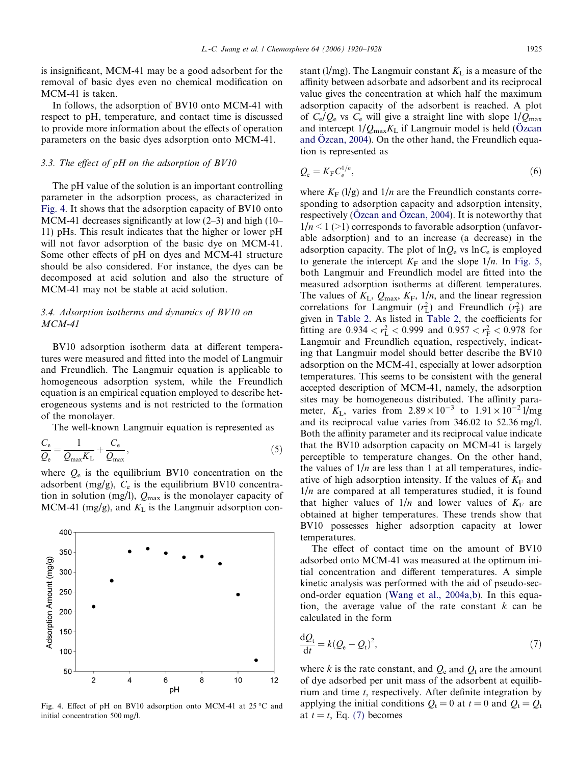is insignificant, MCM-41 may be a good adsorbent for the removal of basic dyes even no chemical modification on MCM-41 is taken.

In follows, the adsorption of BV10 onto MCM-41 with respect to pH, temperature, and contact time is discussed to provide more information about the effects of operation parameters on the basic dyes adsorption onto MCM-41.

# 3.3. The effect of pH on the adsorption of BV10

The pH value of the solution is an important controlling parameter in the adsorption process, as characterized in Fig. 4. It shows that the adsorption capacity of BV10 onto MCM-41 decreases significantly at low  $(2-3)$  and high  $(10-$ 11) pHs. This result indicates that the higher or lower pH will not favor adsorption of the basic dye on MCM-41. Some other effects of pH on dyes and MCM-41 structure should be also considered. For instance, the dyes can be decomposed at acid solution and also the structure of MCM-41 may not be stable at acid solution.

# 3.4. Adsorption isotherms and dynamics of BV10 on MCM-41

BV10 adsorption isotherm data at different temperatures were measured and fitted into the model of Langmuir and Freundlich. The Langmuir equation is applicable to homogeneous adsorption system, while the Freundlich equation is an empirical equation employed to describe heterogeneous systems and is not restricted to the formation of the monolayer.

The well-known Langmuir equation is represented as

$$
\frac{C_{\rm e}}{Q_{\rm e}} = \frac{1}{Q_{\rm max} K_{\rm L}} + \frac{C_{\rm e}}{Q_{\rm max}},\tag{5}
$$

where  $Q_e$  is the equilibrium BV10 concentration on the adsorbent (mg/g),  $C_e$  is the equilibrium BV10 concentration in solution (mg/l),  $Q_{\text{max}}$  is the monolayer capacity of MCM-41 (mg/g), and  $K<sub>L</sub>$  is the Langmuir adsorption con-



Fig. 4. Effect of pH on BV10 adsorption onto MCM-41 at 25 °C and initial concentration 500 mg/l.

stant (l/mg). The Langmuir constant  $K<sub>L</sub>$  is a measure of the affinity between adsorbate and adsorbent and its reciprocal value gives the concentration at which half the maximum adsorption capacity of the adsorbent is reached. A plot of  $C_e/Q_e$  vs  $C_e$  will give a straight line with slope  $1/Q_{\text{max}}$ and intercept  $1/Q_{\text{max}}K_L$  if Langmuir model is held (Ö[zcan](#page-8-0) and Ö[zcan, 2004](#page-8-0)). On the other hand, the Freundlich equation is represented as

$$
Q_{\rm e} = K_{\rm F} C_{\rm e}^{1/n},\tag{6}
$$

where  $K_F$  (1/g) and 1/n are the Freundlich constants corresponding to adsorption capacity and adsorption intensity, respectively ( $O$ zcan and  $O$ zcan, 2004). It is noteworthy that  $1/n < 1$  (>1) corresponds to favorable adsorption (unfavorable adsorption) and to an increase (a decrease) in the adsorption capacity. The plot of  $\ln Q_e$  vs  $\ln C_e$  is employed to generate the intercept  $K_F$  and the slope  $1/n$ . In [Fig. 5,](#page-6-0) both Langmuir and Freundlich model are fitted into the measured adsorption isotherms at different temperatures. The values of  $K_{\text{L}}$ ,  $Q_{\text{max}}$ ,  $K_{\text{F}}$ ,  $1/n$ , and the linear regression correlations for Langmuir  $(r<sub>L</sub><sup>2</sup>)$  and Freundlich  $(r<sub>F</sub><sup>2</sup>)$  are given in [Table 2.](#page-6-0) As listed in [Table 2,](#page-6-0) the coefficients for fitting are  $0.934 < r_L^2 < 0.999$  and  $0.957 < r_F^2 < 0.978$  for Langmuir and Freundlich equation, respectively, indicating that Langmuir model should better describe the BV10 adsorption on the MCM-41, especially at lower adsorption temperatures. This seems to be consistent with the general accepted description of MCM-41, namely, the adsorption sites may be homogeneous distributed. The affinity parameter,  $K_{\text{L}}$ , varies from  $2.89 \times 10^{-3}$  to  $1.91 \times 10^{-2}$  l/mg and its reciprocal value varies from 346.02 to 52.36 mg/l. Both the affinity parameter and its reciprocal value indicate that the BV10 adsorption capacity on MCM-41 is largely perceptible to temperature changes. On the other hand, the values of  $1/n$  are less than 1 at all temperatures, indicative of high adsorption intensity. If the values of  $K_F$  and  $1/n$  are compared at all temperatures studied, it is found that higher values of  $1/n$  and lower values of  $K_F$  are obtained at higher temperatures. These trends show that BV10 possesses higher adsorption capacity at lower temperatures.

The effect of contact time on the amount of BV10 adsorbed onto MCM-41 was measured at the optimum initial concentration and different temperatures. A simple kinetic analysis was performed with the aid of pseudo-second-order equation ([Wang et al., 2004a,b](#page-8-0)). In this equation, the average value of the rate constant  $k$  can be calculated in the form

$$
\frac{\mathrm{d}Q_{\mathrm{t}}}{\mathrm{d}t} = k(Q_{\mathrm{e}} - Q_{\mathrm{t}})^2,\tag{7}
$$

where k is the rate constant, and  $Q_{e}$  and  $Q_{t}$  are the amount of dye adsorbed per unit mass of the adsorbent at equilibrium and time t, respectively. After definite integration by applying the initial conditions  $Q_t = 0$  at  $t = 0$  and  $Q_t = Q_t$ at  $t = t$ , Eq. (7) becomes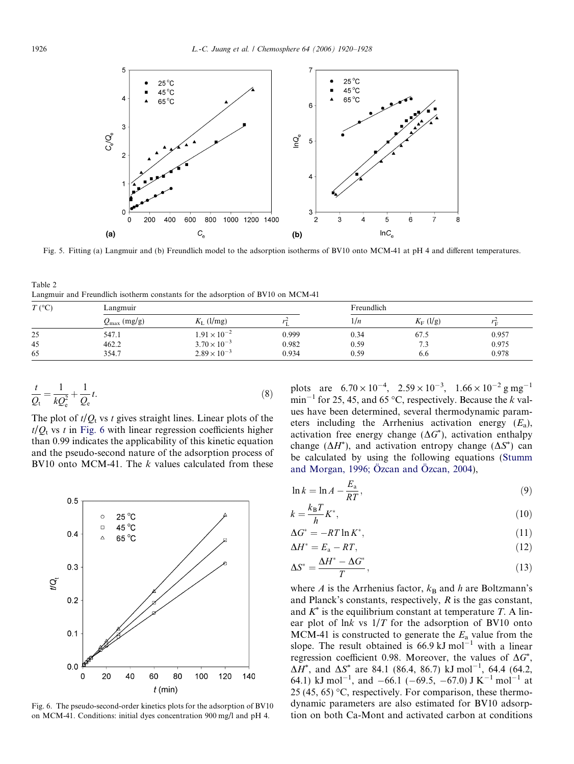<span id="page-6-0"></span>

Fig. 5. Fitting (a) Langmuir and (b) Freundlich model to the adsorption isotherms of BV10 onto MCM-41 at pH 4 and different temperatures.

Table 2 Langmuir and Freundlich isotherm constants for the adsorption of BV10 on MCM-41

| $T({}^{\circ}C)$ | Langmuir                |                       |       | Freundlich |                   |       |
|------------------|-------------------------|-----------------------|-------|------------|-------------------|-------|
|                  | $Q_{\text{max}}$ (mg/g) | $K_{\rm L}$ (l/mg)    |       | 1/n        | $K_{\rm F}$ (l/g) | Îт.   |
| 25               | 547.1                   | $1.91 \times 10^{-2}$ | 0.999 | 0.34       | 67.5              | 0.957 |
| 45               | 462.2                   | $3.70 \times 10^{-3}$ | 0.982 | 0.59       | 7 <sup>1</sup>    | 0.975 |
| 65               | 354.7                   | $2.89 \times 10^{-3}$ | 0.934 | 0.59       | 6.6               | 0.978 |

$$
\frac{t}{Q_{\rm t}} = \frac{1}{kQ_{\rm e}^2} + \frac{1}{Q_{\rm e}}t.\tag{8}
$$

The plot of  $t/Q_t$  vs t gives straight lines. Linear plots of the  $t/Q_t$  vs t in Fig. 6 with linear regression coefficients higher than 0.99 indicates the applicability of this kinetic equation and the pseudo-second nature of the adsorption process of BV10 onto MCM-41. The  $k$  values calculated from these



Fig. 6. The pseudo-second-order kinetics plots for the adsorption of BV10 on MCM-41. Conditions: initial dyes concentration 900 mg/l and pH 4.

plots are  $6.70 \times 10^{-4}$ ,  $2.59 \times 10^{-3}$ ,  $1.66 \times 10^{-2}$  g mg<sup>-1</sup>  $\text{min}^{-1}$  for 25, 45, and 65 °C, respectively. Because the k values have been determined, several thermodynamic parameters including the Arrhenius activation energy  $(E_a)$ , activation free energy change  $(\Delta G^*)$ , activation enthalpy change  $(\Delta H^*)$ , and activation entropy change  $(\Delta S^*)$  can be calculated by using the following equations ([Stumm](#page-8-0) and Morgan, 1996; Özcan and Özcan, 2004),

$$
\ln k = \ln A - \frac{E_{\rm a}}{RT},\tag{9}
$$

$$
k = \frac{k_{\rm B}T}{h}K^*,\tag{10}
$$

$$
\Delta G^* = -RT \ln K^*,\tag{11}
$$

$$
\Delta H^* = E_a - RT,\tag{12}
$$

$$
\Delta S^* = \frac{\Delta H^* - \Delta G^*}{T},\tag{13}
$$

where A is the Arrhenius factor,  $k_B$  and h are Boltzmann's and Planck's constants, respectively,  $R$  is the gas constant, and  $K^*$  is the equilibrium constant at temperature T. A linear plot of lnk vs  $1/T$  for the adsorption of BV10 onto MCM-41 is constructed to generate the  $E_a$  value from the slope. The result obtained is  $66.9 \text{ kJ} \text{ mol}^{-1}$  with a linear regression coefficient 0.98. Moreover, the values of  $\Delta G^*$ ,  $\Delta H^*$ , and  $\Delta S^*$  are 84.1 (86.4, 86.7) kJ mol<sup>-1</sup>, 64.4 (64.2, 64.1) kJ mol<sup>-1</sup>, and  $-66.1$  ( $-69.5$ ,  $-67.0$ ) J K<sup>-1</sup> mol<sup>-1</sup> at 25 (45, 65) °C, respectively. For comparison, these thermodynamic parameters are also estimated for BV10 adsorption on both Ca-Mont and activated carbon at conditions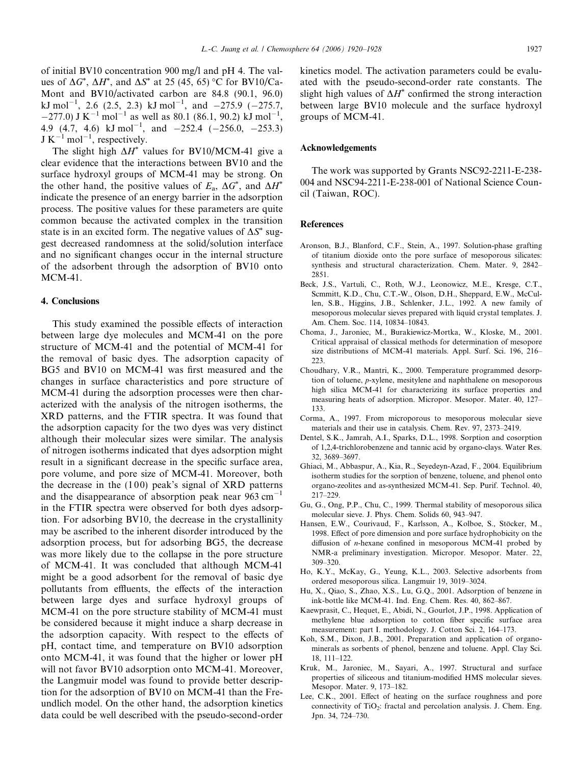<span id="page-7-0"></span>of initial BV10 concentration 900 mg/l and pH 4. The values of  $\Delta G^*$ ,  $\Delta H^*$ , and  $\Delta S^*$  at 25 (45, 65) °C for BV10/Ca-Mont and BV10/activated carbon are 84.8 (90.1, 96.0) kJ mol<sup>-1</sup>, 2.6 (2.5, 2.3) kJ mol<sup>-1</sup>, and  $-275.9$  ( $-275.7$ ,  $-277.0$ ) J K<sup>-1</sup> mol<sup>-1</sup> as well as 80.1 (86.1, 90.2) kJ mol<sup>-1</sup>, 4.9 (4.7, 4.6) kJ mol<sup>-1</sup>, and  $-252.4$  ( $-256.0$ ,  $-253.3$ )  $J K^{-1}$  mol<sup>-1</sup>, respectively.

The slight high  $\Delta H^*$  values for BV10/MCM-41 give a clear evidence that the interactions between BV10 and the surface hydroxyl groups of MCM-41 may be strong. On the other hand, the positive values of  $E_a$ ,  $\Delta G^*$ , and  $\Delta H^*$ indicate the presence of an energy barrier in the adsorption process. The positive values for these parameters are quite common because the activated complex in the transition state is in an excited form. The negative values of  $\Delta S^*$  suggest decreased randomness at the solid/solution interface and no significant changes occur in the internal structure of the adsorbent through the adsorption of BV10 onto MCM-41.

## 4. Conclusions

This study examined the possible effects of interaction between large dye molecules and MCM-41 on the pore structure of MCM-41 and the potential of MCM-41 for the removal of basic dyes. The adsorption capacity of BG5 and BV10 on MCM-41 was first measured and the changes in surface characteristics and pore structure of MCM-41 during the adsorption processes were then characterized with the analysis of the nitrogen isotherms, the XRD patterns, and the FTIR spectra. It was found that the adsorption capacity for the two dyes was very distinct although their molecular sizes were similar. The analysis of nitrogen isotherms indicated that dyes adsorption might result in a significant decrease in the specific surface area, pore volume, and pore size of MCM-41. Moreover, both the decrease in the  $(100)$  peak's signal of XRD patterns and the disappearance of absorption peak near  $963 \text{ cm}^{-1}$ in the FTIR spectra were observed for both dyes adsorption. For adsorbing BV10, the decrease in the crystallinity may be ascribed to the inherent disorder introduced by the adsorption process, but for adsorbing BG5, the decrease was more likely due to the collapse in the pore structure of MCM-41. It was concluded that although MCM-41 might be a good adsorbent for the removal of basic dye pollutants from effluents, the effects of the interaction between large dyes and surface hydroxyl groups of MCM-41 on the pore structure stability of MCM-41 must be considered because it might induce a sharp decrease in the adsorption capacity. With respect to the effects of pH, contact time, and temperature on BV10 adsorption onto MCM-41, it was found that the higher or lower pH will not favor BV10 adsorption onto MCM-41. Moreover, the Langmuir model was found to provide better description for the adsorption of BV10 on MCM-41 than the Freundlich model. On the other hand, the adsorption kinetics data could be well described with the pseudo-second-order kinetics model. The activation parameters could be evaluated with the pseudo-second-order rate constants. The slight high values of  $\Delta H^*$  confirmed the strong interaction between large BV10 molecule and the surface hydroxyl groups of MCM-41.

# Acknowledgements

The work was supported by Grants NSC92-2211-E-238- 004 and NSC94-2211-E-238-001 of National Science Council (Taiwan, ROC).

#### References

- Aronson, B.J., Blanford, C.F., Stein, A., 1997. Solution-phase grafting of titanium dioxide onto the pore surface of mesoporous silicates: synthesis and structural characterization. Chem. Mater. 9, 2842– 2851.
- Beck, J.S., Vartuli, C., Roth, W.J., Leonowicz, M.E., Kresge, C.T., Scmmitt, K.D., Chu, C.T.-W., Olson, D.H., Sheppard, E.W., McCullen, S.B., Higgins, J.B., Schlenker, J.L., 1992. A new family of mesoporous molecular sieves prepared with liquid crystal templates. J. Am. Chem. Soc. 114, 10834–10843.
- Choma, J., Jaroniec, M., Burakiewicz-Mortka, W., Kloske, M., 2001. Critical appraisal of classical methods for determination of mesopore size distributions of MCM-41 materials. Appl. Surf. Sci. 196, 216– 223.
- Choudhary, V.R., Mantri, K., 2000. Temperature programmed desorption of toluene, p-xylene, mesitylene and naphthalene on mesoporous high silica MCM-41 for characterizing its surface properties and measuring heats of adsorption. Micropor. Mesopor. Mater. 40, 127– 133.
- Corma, A., 1997. From microporous to mesoporous molecular sieve materials and their use in catalysis. Chem. Rev. 97, 2373–2419.
- Dentel, S.K., Jamrah, A.I., Sparks, D.L., 1998. Sorption and cosorption of 1,2,4-trichlorobenzene and tannic acid by organo-clays. Water Res. 32, 3689–3697.
- Ghiaci, M., Abbaspur, A., Kia, R., Seyedeyn-Azad, F., 2004. Equilibrium isotherm studies for the sorption of benzene, toluene, and phenol onto organo-zeolites and as-synthesized MCM-41. Sep. Purif. Technol. 40, 217–229.
- Gu, G., Ong, P.P., Chu, C., 1999. Thermal stability of mesoporous silica molecular sieve. J. Phys. Chem. Solids 60, 943–947.
- Hansen, E.W., Courivaud, F., Karlsson, A., Kolboe, S., Stöcker, M., 1998. Effect of pore dimension and pore surface hydrophobicity on the diffusion of n-hexane confined in mesoporous MCM-41 probed by NMR-a preliminary investigation. Micropor. Mesopor. Mater. 22, 309–320.
- Ho, K.Y., McKay, G., Yeung, K.L., 2003. Selective adsorbents from ordered mesoporous silica. Langmuir 19, 3019–3024.
- Hu, X., Qiao, S., Zhao, X.S., Lu, G.Q., 2001. Adsorption of benzene in ink-bottle like MCM-41. Ind. Eng. Chem. Res. 40, 862–867.
- Kaewprasit, C., Hequet, E., Abidi, N., Gourlot, J.P., 1998. Application of methylene blue adsorption to cotton fiber specific surface area measurement: part I. methodology. J. Cotton Sci. 2, 164–173.
- Koh, S.M., Dixon, J.B., 2001. Preparation and application of organominerals as sorbents of phenol, benzene and toluene. Appl. Clay Sci. 18, 111–122.
- Kruk, M., Jaroniec, M., Sayari, A., 1997. Structural and surface properties of siliceous and titanium-modified HMS molecular sieves. Mesopor. Mater. 9, 173–182.
- Lee, C.K., 2001. Effect of heating on the surface roughness and pore connectivity of  $TiO<sub>2</sub>$ : fractal and percolation analysis. J. Chem. Eng. Jpn. 34, 724–730.